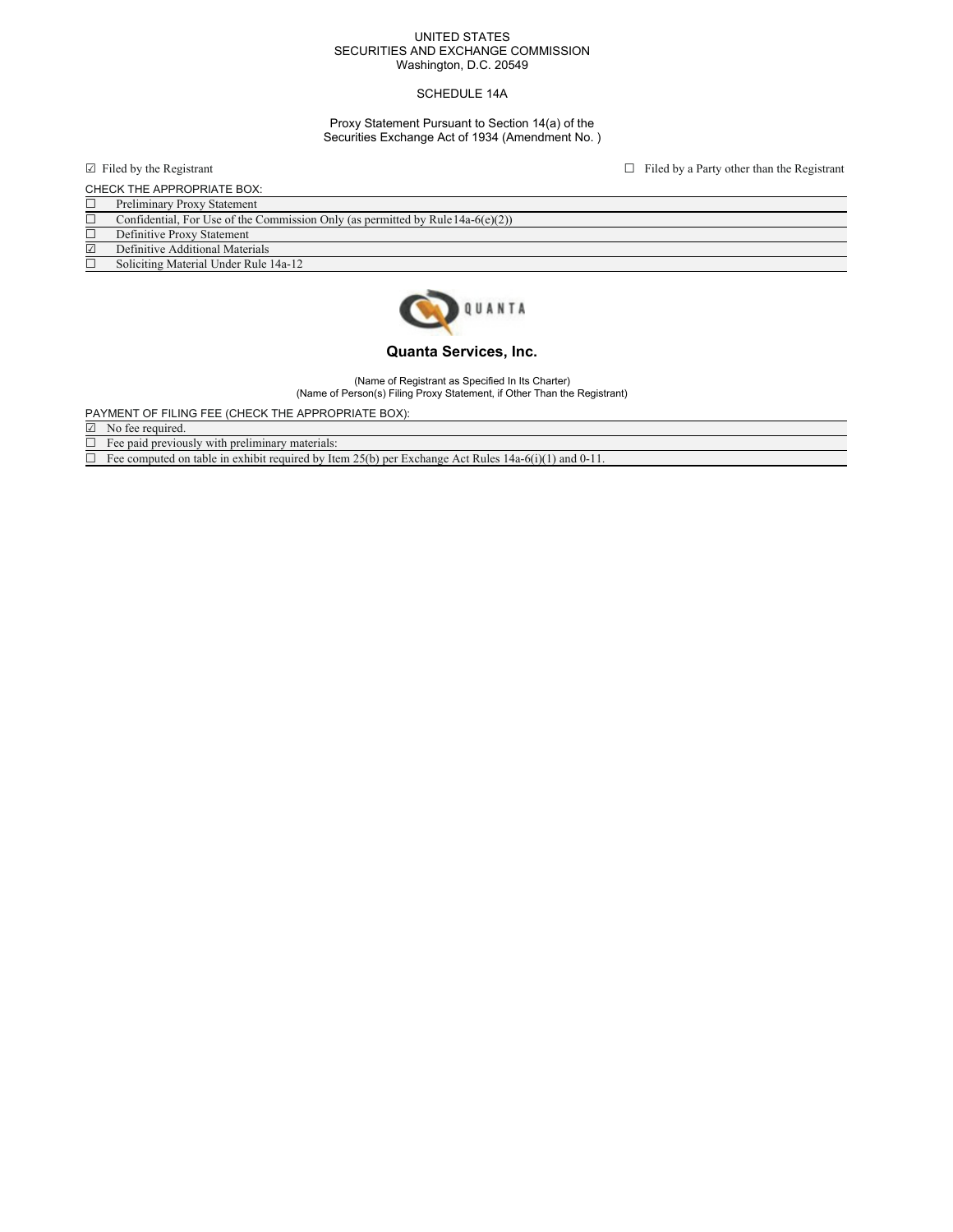#### UNITED STATES SECURITIES AND EXCHANGE COMMISSION Washington, D.C. 20549

## SCHEDULE 14A

## Proxy Statement Pursuant to Section 14(a) of the Securities Exchange Act of 1934 (Amendment No. )

 $\Box$  Filed by the Registrant  $\Box$  Filed by a Party other than the Registrant

| CHECK THE APPROPRIATE BOX: |                                                                                    |
|----------------------------|------------------------------------------------------------------------------------|
| $\Box$                     | <b>Preliminary Proxy Statement</b>                                                 |
|                            | Confidential, For Use of the Commission Only (as permitted by Rule $14a-6(e)(2)$ ) |
|                            | Definitive Proxy Statement                                                         |
| ☑                          | Definitive Additional Materials                                                    |
|                            | Soliciting Material Under Rule 14a-12                                              |



# **Quanta Services, Inc.**

(Name of Registrant as Specified In Its Charter) (Name of Person(s) Filing Proxy Statement, if Other Than the Registrant)

PAYMENT OF FILING FEE (CHECK THE APPROPRIATE BOX):

☑ No fee required.

 $\Box$  Fee paid previously with preliminary materials:

 $\Box$  Fee computed on table in exhibit required by Item 25(b) per Exchange Act Rules 14a-6(i)(1) and 0-11.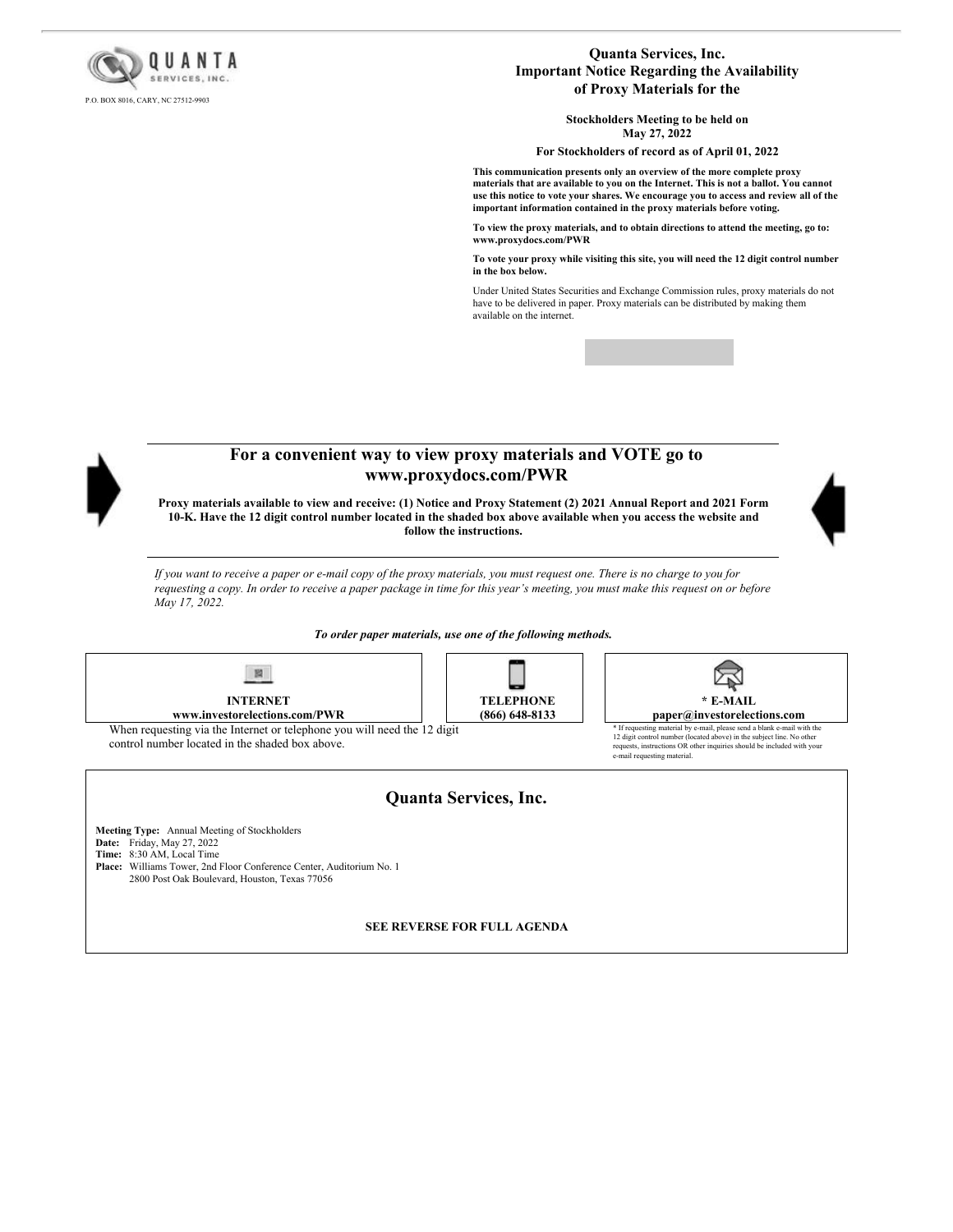

## **Quanta Services, Inc. Important Notice Regarding the Availability of Proxy Materials for the**

**Stockholders Meeting to be held on May 27, 2022**

**For Stockholders of record as of April 01, 2022**

**This communication presents only an overview of the more complete proxy materials that are available to you on the Internet. This is not a ballot. You cannot use this notice to vote your shares. We encourage you to access and review all of the important information contained in the proxy materials before voting.**

**To view the proxy materials, and to obtain directions to attend the meeting, go to: www.proxydocs.com/PWR**

**To vote your proxy while visiting this site, you will need the 12 digit control number in the box below.**

Under United States Securities and Exchange Commission rules, proxy materials do not have to be delivered in paper. Proxy materials can be distributed by making them available on the internet.